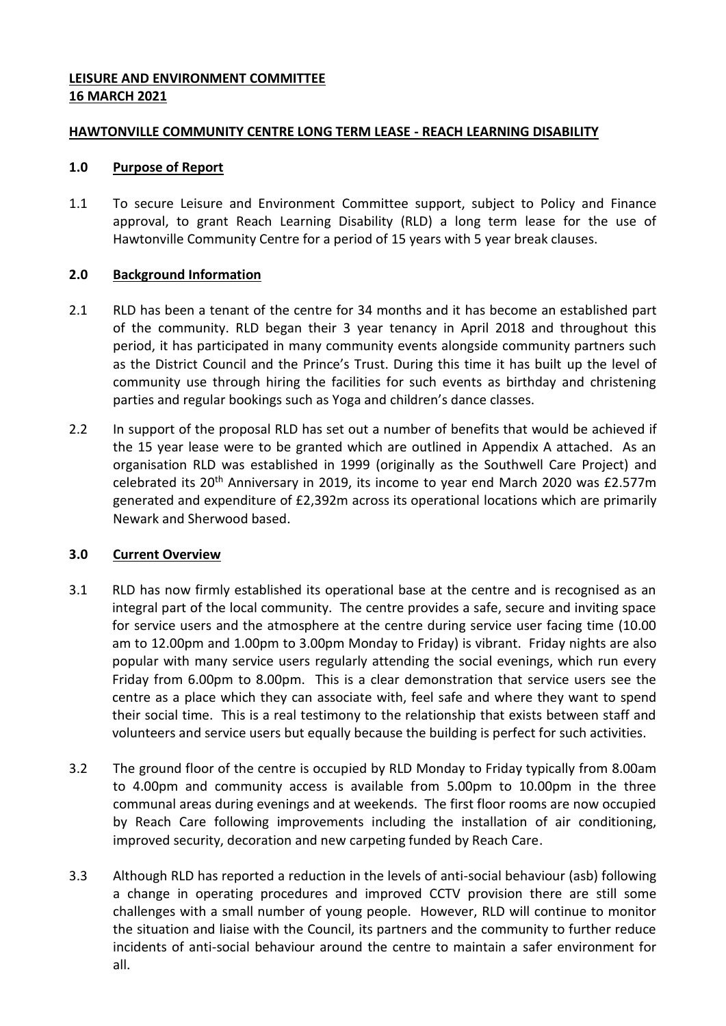## **LEISURE AND ENVIRONMENT COMMITTEE 16 MARCH 2021**

## **HAWTONVILLE COMMUNITY CENTRE LONG TERM LEASE - REACH LEARNING DISABILITY**

### **1.0 Purpose of Report**

1.1 To secure Leisure and Environment Committee support, subject to Policy and Finance approval, to grant Reach Learning Disability (RLD) a long term lease for the use of Hawtonville Community Centre for a period of 15 years with 5 year break clauses.

## **2.0 Background Information**

- 2.1 RLD has been a tenant of the centre for 34 months and it has become an established part of the community. RLD began their 3 year tenancy in April 2018 and throughout this period, it has participated in many community events alongside community partners such as the District Council and the Prince's Trust. During this time it has built up the level of community use through hiring the facilities for such events as birthday and christening parties and regular bookings such as Yoga and children's dance classes.
- 2.2 In support of the proposal RLD has set out a number of benefits that would be achieved if the 15 year lease were to be granted which are outlined in Appendix A attached. As an organisation RLD was established in 1999 (originally as the Southwell Care Project) and celebrated its 20<sup>th</sup> Anniversary in 2019, its income to year end March 2020 was £2.577m generated and expenditure of £2,392m across its operational locations which are primarily Newark and Sherwood based.

# **3.0 Current Overview**

- 3.1 RLD has now firmly established its operational base at the centre and is recognised as an integral part of the local community. The centre provides a safe, secure and inviting space for service users and the atmosphere at the centre during service user facing time (10.00 am to 12.00pm and 1.00pm to 3.00pm Monday to Friday) is vibrant. Friday nights are also popular with many service users regularly attending the social evenings, which run every Friday from 6.00pm to 8.00pm. This is a clear demonstration that service users see the centre as a place which they can associate with, feel safe and where they want to spend their social time. This is a real testimony to the relationship that exists between staff and volunteers and service users but equally because the building is perfect for such activities.
- 3.2 The ground floor of the centre is occupied by RLD Monday to Friday typically from 8.00am to 4.00pm and community access is available from 5.00pm to 10.00pm in the three communal areas during evenings and at weekends. The first floor rooms are now occupied by Reach Care following improvements including the installation of air conditioning, improved security, decoration and new carpeting funded by Reach Care.
- 3.3 Although RLD has reported a reduction in the levels of anti-social behaviour (asb) following a change in operating procedures and improved CCTV provision there are still some challenges with a small number of young people. However, RLD will continue to monitor the situation and liaise with the Council, its partners and the community to further reduce incidents of anti-social behaviour around the centre to maintain a safer environment for all.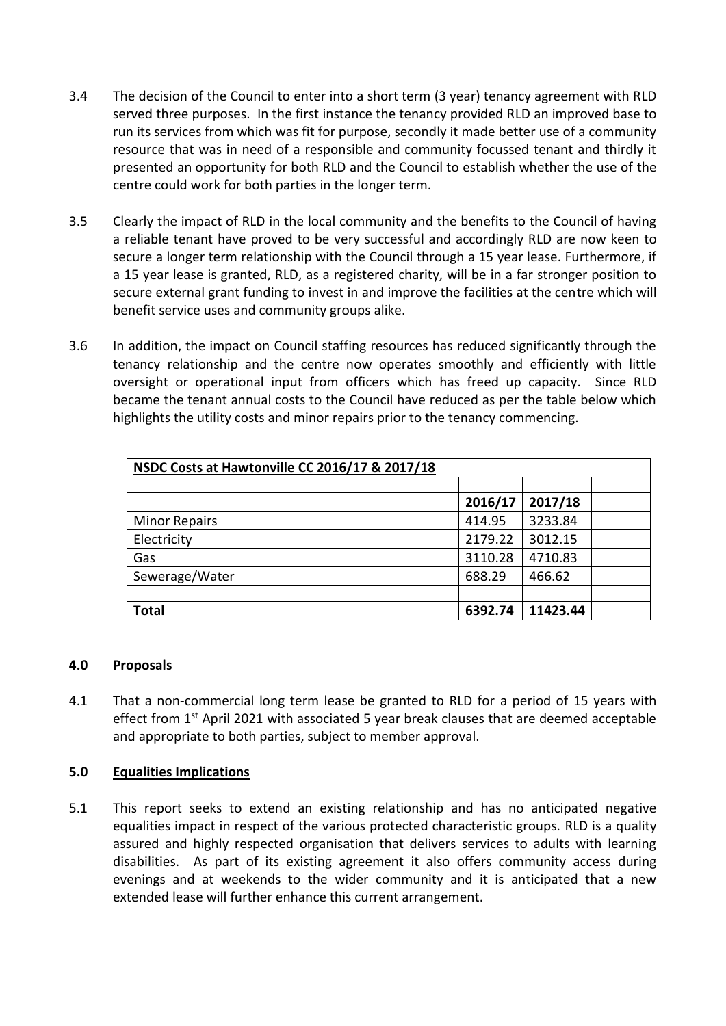- 3.4 The decision of the Council to enter into a short term (3 year) tenancy agreement with RLD served three purposes. In the first instance the tenancy provided RLD an improved base to run its services from which was fit for purpose, secondly it made better use of a community resource that was in need of a responsible and community focussed tenant and thirdly it presented an opportunity for both RLD and the Council to establish whether the use of the centre could work for both parties in the longer term.
- 3.5 Clearly the impact of RLD in the local community and the benefits to the Council of having a reliable tenant have proved to be very successful and accordingly RLD are now keen to secure a longer term relationship with the Council through a 15 year lease. Furthermore, if a 15 year lease is granted, RLD, as a registered charity, will be in a far stronger position to secure external grant funding to invest in and improve the facilities at the centre which will benefit service uses and community groups alike.
- 3.6 In addition, the impact on Council staffing resources has reduced significantly through the tenancy relationship and the centre now operates smoothly and efficiently with little oversight or operational input from officers which has freed up capacity. Since RLD became the tenant annual costs to the Council have reduced as per the table below which highlights the utility costs and minor repairs prior to the tenancy commencing.

| NSDC Costs at Hawtonville CC 2016/17 & 2017/18 |         |          |  |
|------------------------------------------------|---------|----------|--|
|                                                |         |          |  |
|                                                | 2016/17 | 2017/18  |  |
| <b>Minor Repairs</b>                           | 414.95  | 3233.84  |  |
| Electricity                                    | 2179.22 | 3012.15  |  |
| Gas                                            | 3110.28 | 4710.83  |  |
| Sewerage/Water                                 | 688.29  | 466.62   |  |
|                                                |         |          |  |
| <b>Total</b>                                   | 6392.74 | 11423.44 |  |

### **4.0 Proposals**

4.1 That a non-commercial long term lease be granted to RLD for a period of 15 years with effect from 1<sup>st</sup> April 2021 with associated 5 year break clauses that are deemed acceptable and appropriate to both parties, subject to member approval.

### **5.0 Equalities Implications**

5.1 This report seeks to extend an existing relationship and has no anticipated negative equalities impact in respect of the various protected characteristic groups. RLD is a quality assured and highly respected organisation that delivers services to adults with learning disabilities. As part of its existing agreement it also offers community access during evenings and at weekends to the wider community and it is anticipated that a new extended lease will further enhance this current arrangement.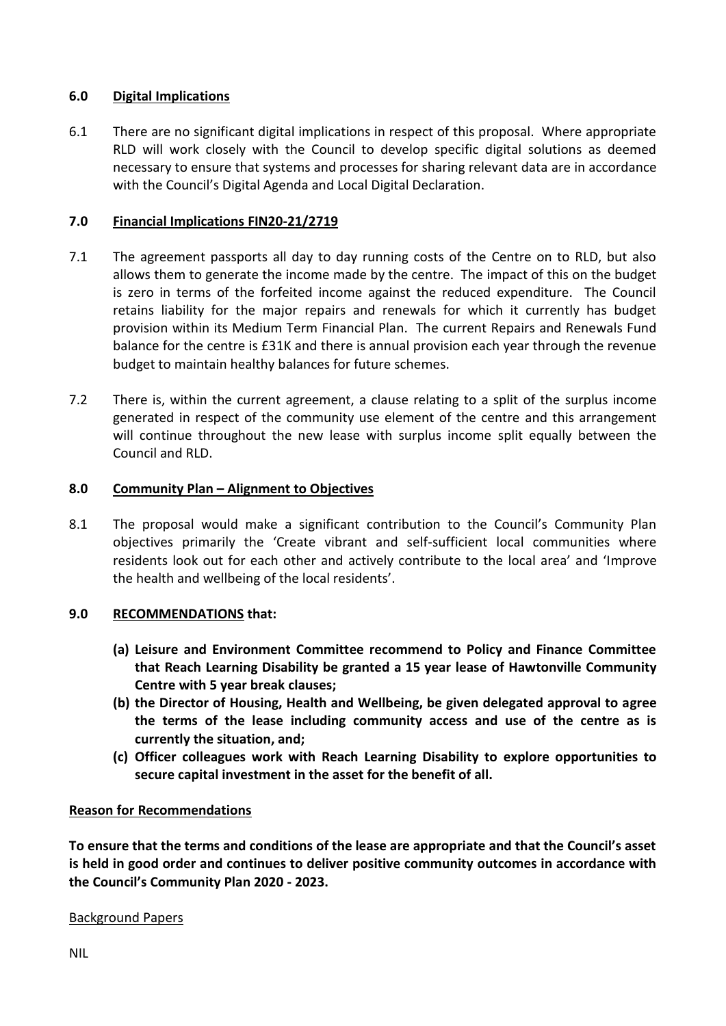## **6.0 Digital Implications**

6.1 There are no significant digital implications in respect of this proposal. Where appropriate RLD will work closely with the Council to develop specific digital solutions as deemed necessary to ensure that systems and processes for sharing relevant data are in accordance with the Council's Digital Agenda and Local Digital Declaration.

## **7.0 Financial Implications FIN20-21/2719**

- 7.1 The agreement passports all day to day running costs of the Centre on to RLD, but also allows them to generate the income made by the centre. The impact of this on the budget is zero in terms of the forfeited income against the reduced expenditure. The Council retains liability for the major repairs and renewals for which it currently has budget provision within its Medium Term Financial Plan. The current Repairs and Renewals Fund balance for the centre is £31K and there is annual provision each year through the revenue budget to maintain healthy balances for future schemes.
- 7.2 There is, within the current agreement, a clause relating to a split of the surplus income generated in respect of the community use element of the centre and this arrangement will continue throughout the new lease with surplus income split equally between the Council and RLD.

## **8.0 Community Plan – Alignment to Objectives**

8.1 The proposal would make a significant contribution to the Council's Community Plan objectives primarily the 'Create vibrant and self-sufficient local communities where residents look out for each other and actively contribute to the local area' and 'Improve the health and wellbeing of the local residents'.

### **9.0 RECOMMENDATIONS that:**

- **(a) Leisure and Environment Committee recommend to Policy and Finance Committee that Reach Learning Disability be granted a 15 year lease of Hawtonville Community Centre with 5 year break clauses;**
- **(b) the Director of Housing, Health and Wellbeing, be given delegated approval to agree the terms of the lease including community access and use of the centre as is currently the situation, and;**
- **(c) Officer colleagues work with Reach Learning Disability to explore opportunities to secure capital investment in the asset for the benefit of all.**

### **Reason for Recommendations**

**To ensure that the terms and conditions of the lease are appropriate and that the Council's asset is held in good order and continues to deliver positive community outcomes in accordance with the Council's Community Plan 2020 - 2023.** 

### Background Papers